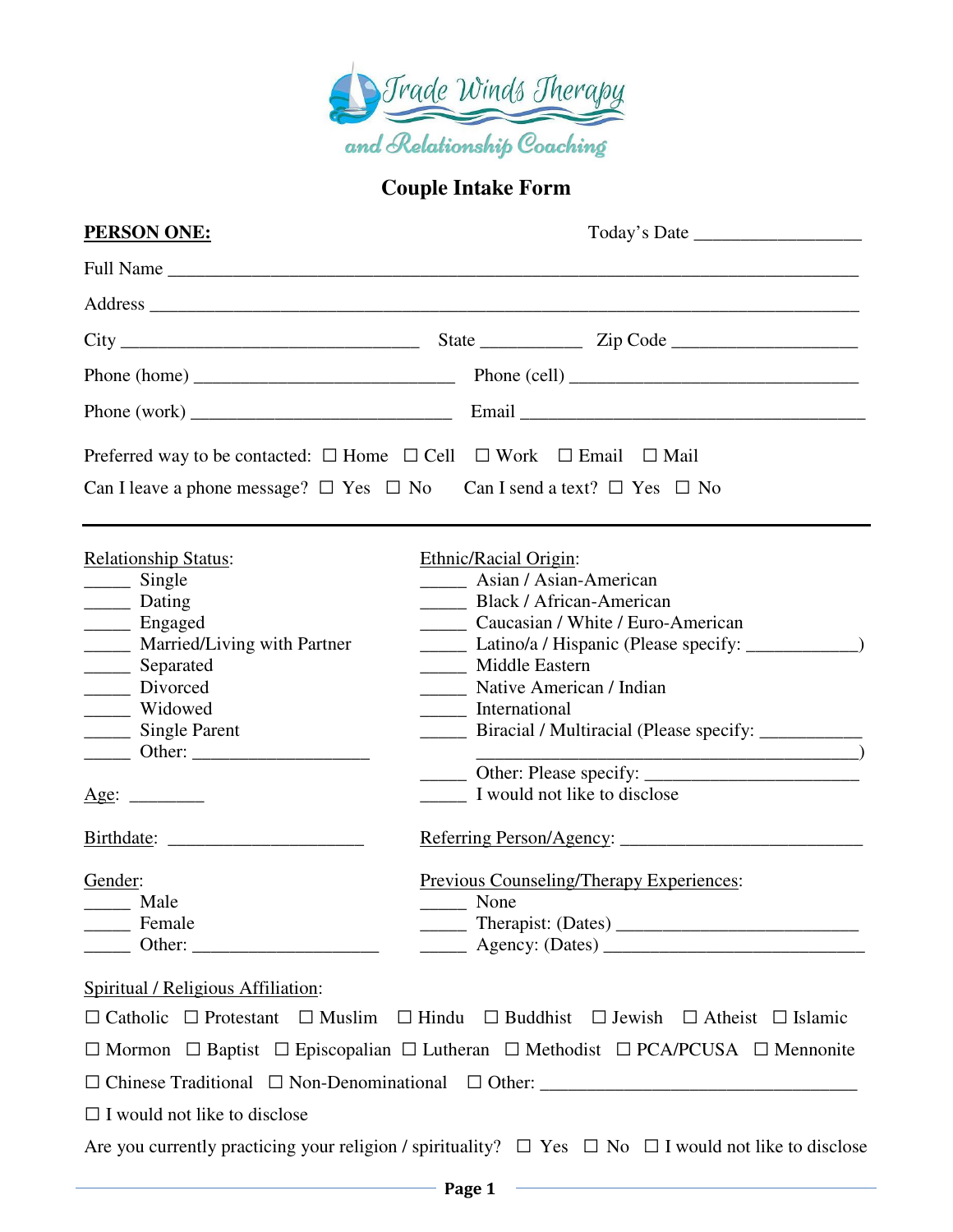

## **Couple Intake Form**

| <b>PERSON ONE:</b>                                                                                                                                                                                                                                                              |                                                                                                                                                                                                                                                                                                                                        |  |
|---------------------------------------------------------------------------------------------------------------------------------------------------------------------------------------------------------------------------------------------------------------------------------|----------------------------------------------------------------------------------------------------------------------------------------------------------------------------------------------------------------------------------------------------------------------------------------------------------------------------------------|--|
|                                                                                                                                                                                                                                                                                 |                                                                                                                                                                                                                                                                                                                                        |  |
|                                                                                                                                                                                                                                                                                 |                                                                                                                                                                                                                                                                                                                                        |  |
|                                                                                                                                                                                                                                                                                 |                                                                                                                                                                                                                                                                                                                                        |  |
|                                                                                                                                                                                                                                                                                 |                                                                                                                                                                                                                                                                                                                                        |  |
|                                                                                                                                                                                                                                                                                 |                                                                                                                                                                                                                                                                                                                                        |  |
|                                                                                                                                                                                                                                                                                 | Preferred way to be contacted: $\square$ Home $\square$ Cell $\square$ Work $\square$ Email $\square$ Mail                                                                                                                                                                                                                             |  |
|                                                                                                                                                                                                                                                                                 | Can I leave a phone message? $\Box$ Yes $\Box$ No Can I send a text? $\Box$ Yes $\Box$ No                                                                                                                                                                                                                                              |  |
| <b>Relationship Status:</b><br>$\frac{1}{\sqrt{2}}$ Single<br>________ Dating<br>_______ Engaged<br>________ Married/Living with Partner<br>______ Separated<br>_______ Divorced<br>_____ Widowed<br>______ Single Parent<br>Age:<br>Gender:<br>______ Male<br>_________ Female | Ethnic/Racial Origin:<br>Asian / Asian-American<br>Black / African-American<br>Caucasian / White / Euro-American<br>Latino/a / Hispanic (Please specify: _____________)<br>____ Middle Eastern<br>Native American / Indian<br>International<br>I would not like to disclose<br><b>Previous Counseling/Therapy Experiences:</b><br>None |  |
| Spiritual / Religious Affiliation:                                                                                                                                                                                                                                              | $\Box$ Catholic $\Box$ Protestant $\Box$ Muslim $\Box$ Hindu $\Box$ Buddhist $\Box$ Jewish $\Box$ Atheist $\Box$ Islamic                                                                                                                                                                                                               |  |
|                                                                                                                                                                                                                                                                                 | $\Box$ Mormon $\Box$ Baptist $\Box$ Episcopalian $\Box$ Lutheran $\Box$ Methodist $\Box$ PCA/PCUSA $\Box$ Mennonite                                                                                                                                                                                                                    |  |
|                                                                                                                                                                                                                                                                                 |                                                                                                                                                                                                                                                                                                                                        |  |
| $\Box$ I would not like to disclose                                                                                                                                                                                                                                             |                                                                                                                                                                                                                                                                                                                                        |  |
|                                                                                                                                                                                                                                                                                 | Are you currently practicing your religion / spirituality? $\Box$ Yes $\Box$ No $\Box$ I would not like to disclose                                                                                                                                                                                                                    |  |
|                                                                                                                                                                                                                                                                                 | $\longrightarrow$ Page 1 $\longrightarrow$                                                                                                                                                                                                                                                                                             |  |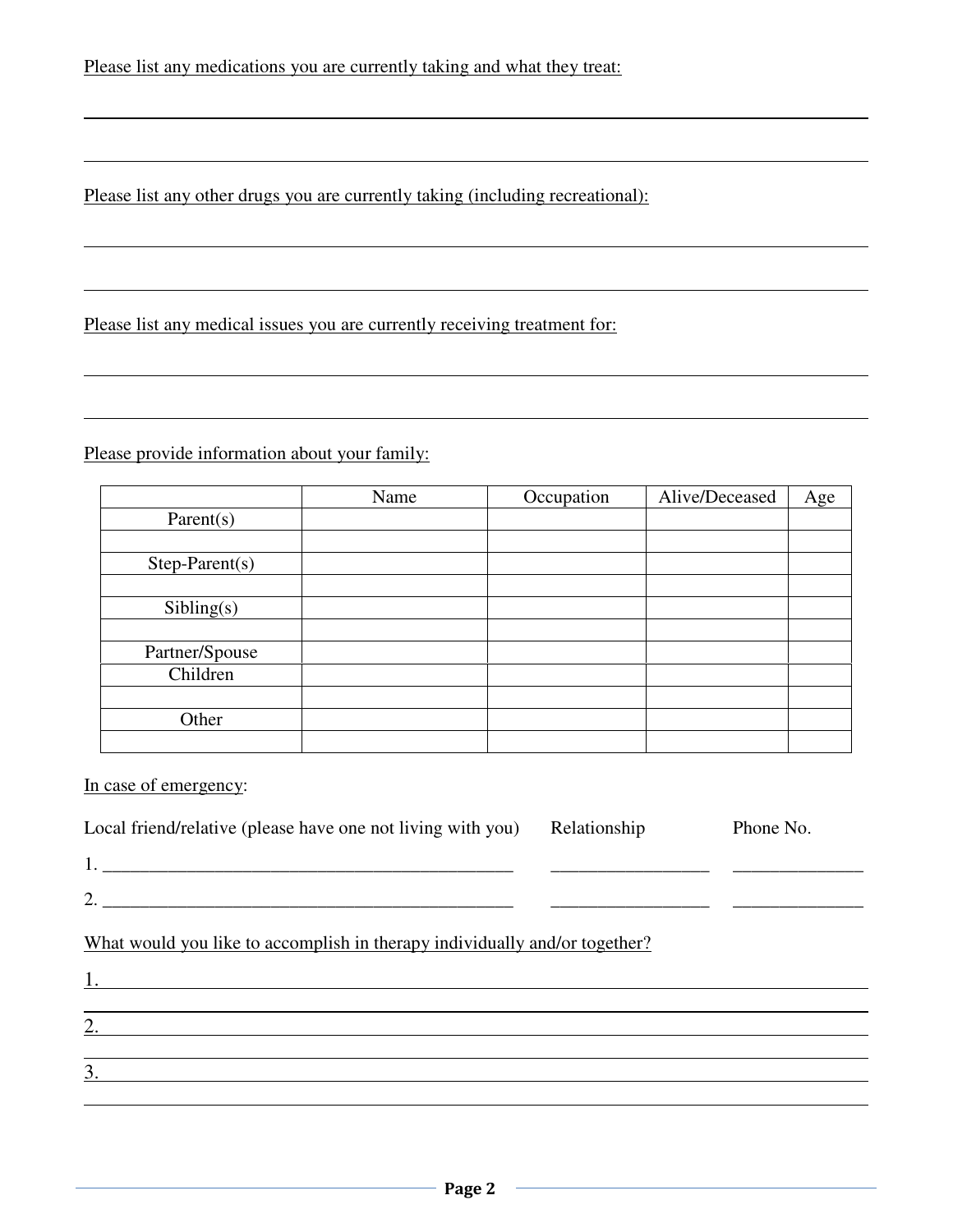Please list any other drugs you are currently taking (including recreational):

Please list any medical issues you are currently receiving treatment for:

Please provide information about your family:

|                  | Name | Occupation | Alive/Deceased | Age |
|------------------|------|------------|----------------|-----|
| Parent(s)        |      |            |                |     |
|                  |      |            |                |     |
| $Step-Parent(s)$ |      |            |                |     |
|                  |      |            |                |     |
| Sibling(s)       |      |            |                |     |
|                  |      |            |                |     |
| Partner/Spouse   |      |            |                |     |
| Children         |      |            |                |     |
|                  |      |            |                |     |
| Other            |      |            |                |     |
|                  |      |            |                |     |

In case of emergency:

 $\overline{a}$ 

| Local friend/relative (please have one not living with you)                                                                              | Relationship | Phone No. |
|------------------------------------------------------------------------------------------------------------------------------------------|--------------|-----------|
|                                                                                                                                          |              |           |
|                                                                                                                                          |              |           |
| What would you like to accomplish in therapy individually and/or together?                                                               |              |           |
|                                                                                                                                          |              |           |
| $\overline{2.}$                                                                                                                          |              |           |
| $\overline{3}$ .<br><u> 1980 - Johann Stein, marwolaethau a bhann an t-Amhair an t-Amhair an t-Amhair an t-Amhair an t-Amhair an t-A</u> |              |           |
|                                                                                                                                          |              |           |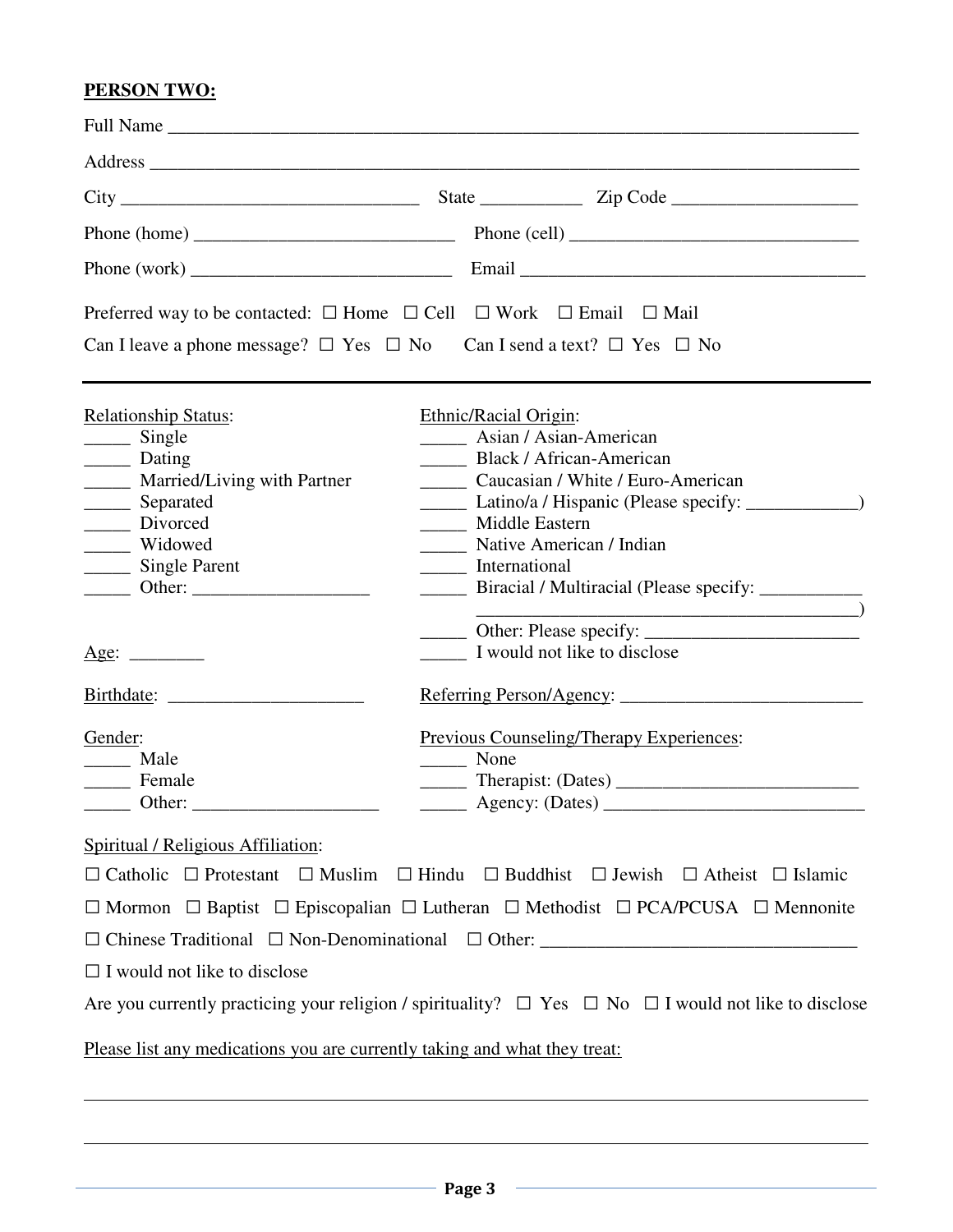## **PERSON TWO:**

| Preferred way to be contacted: $\square$ Home $\square$ Cell $\square$ Work $\square$ Email $\square$ Mail                                                                                                                                                                                                                                                                                                                                                                                                                                                                                                                                           |                                                                                                                                                                                                                                                                                                                                                                                                                                 |
|------------------------------------------------------------------------------------------------------------------------------------------------------------------------------------------------------------------------------------------------------------------------------------------------------------------------------------------------------------------------------------------------------------------------------------------------------------------------------------------------------------------------------------------------------------------------------------------------------------------------------------------------------|---------------------------------------------------------------------------------------------------------------------------------------------------------------------------------------------------------------------------------------------------------------------------------------------------------------------------------------------------------------------------------------------------------------------------------|
| Can I leave a phone message? $\Box$ Yes $\Box$ No Can I send a text? $\Box$ Yes $\Box$ No                                                                                                                                                                                                                                                                                                                                                                                                                                                                                                                                                            |                                                                                                                                                                                                                                                                                                                                                                                                                                 |
| <b>Relationship Status:</b><br>$\frac{1}{\sqrt{1-\frac{1}{2}}\sqrt{1-\frac{1}{2}}\sqrt{1-\frac{1}{2}}\sqrt{1-\frac{1}{2}}\sqrt{1-\frac{1}{2}}\sqrt{1-\frac{1}{2}}\sqrt{1-\frac{1}{2}}\sqrt{1-\frac{1}{2}}\sqrt{1-\frac{1}{2}}\sqrt{1-\frac{1}{2}}\sqrt{1-\frac{1}{2}}\sqrt{1-\frac{1}{2}}\sqrt{1-\frac{1}{2}}\sqrt{1-\frac{1}{2}}\sqrt{1-\frac{1}{2}}\sqrt{1-\frac{1}{2}}\sqrt{1-\frac{1}{2}}\sqrt{1-\frac{1}{2}}\sqrt{1-\frac{1}{2}}\sqrt{1-\frac$<br>________ Dating<br>_____ Married/Living with Partner<br>_______ Separated<br>______ Divorced<br>______ Widowed<br>_______ Single Parent<br>Age:<br>Gender:<br>______ Male<br>Female<br>Other: | Ethnic/Racial Origin:<br><b>Asian / Asian-American</b><br><b>Black / African-American</b><br>Caucasian / White / Euro-American<br>Latino/a / Hispanic (Please specify: ____________)<br>Middle Eastern<br>_______ Native American / Indian<br>International<br>_______ Biracial / Multiracial (Please specify: _________<br>I would not like to disclose<br>Previous Counseling/Therapy Experiences:<br>None<br>Agency: (Dates) |
| Spiritual / Religious Affiliation:<br>$\Box$ I would not like to disclose<br>Please list any medications you are currently taking and what they treat:                                                                                                                                                                                                                                                                                                                                                                                                                                                                                               | $\Box$ Catholic $\Box$ Protestant $\Box$ Muslim $\Box$ Hindu $\Box$ Buddhist $\Box$ Jewish $\Box$ Atheist $\Box$ Islamic<br>$\Box$ Mormon $\Box$ Baptist $\Box$ Episcopalian $\Box$ Lutheran $\Box$ Methodist $\Box$ PCA/PCUSA $\Box$ Mennonite<br>Are you currently practicing your religion / spirituality? $\Box$ Yes $\Box$ No $\Box$ I would not like to disclose                                                          |